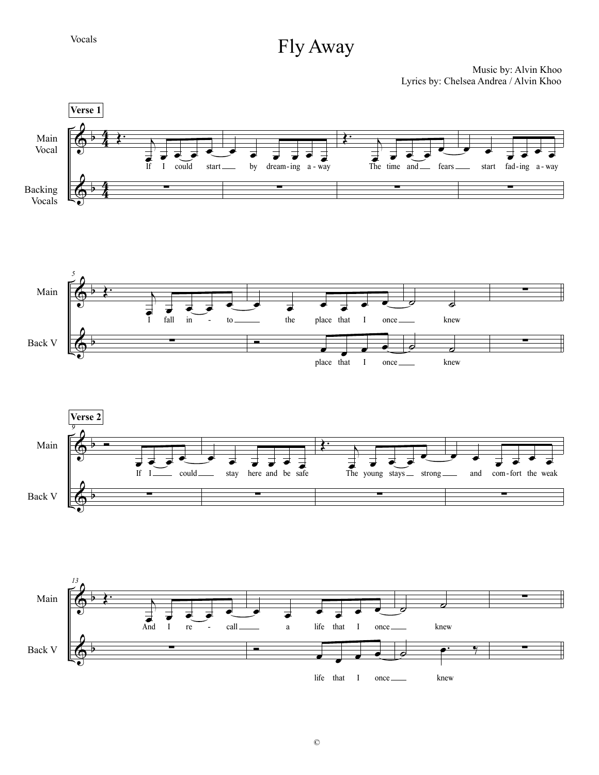

Music by: Alvin Khoo Lyrics by: Chelsea Andrea / Alvin Khoo

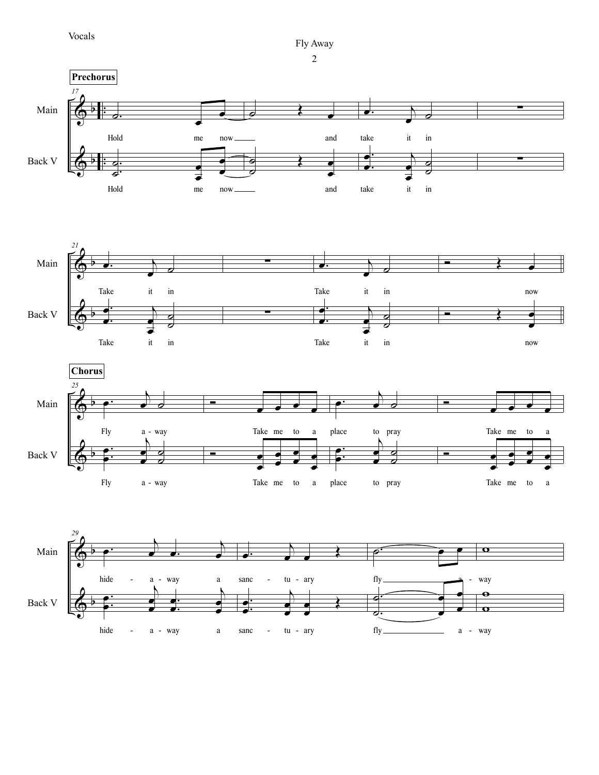Fly Away

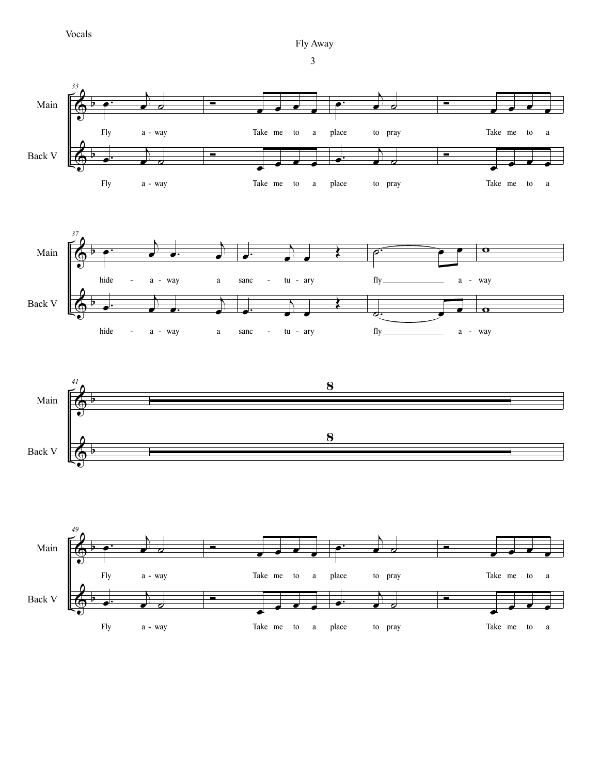Vocals

Fly Away